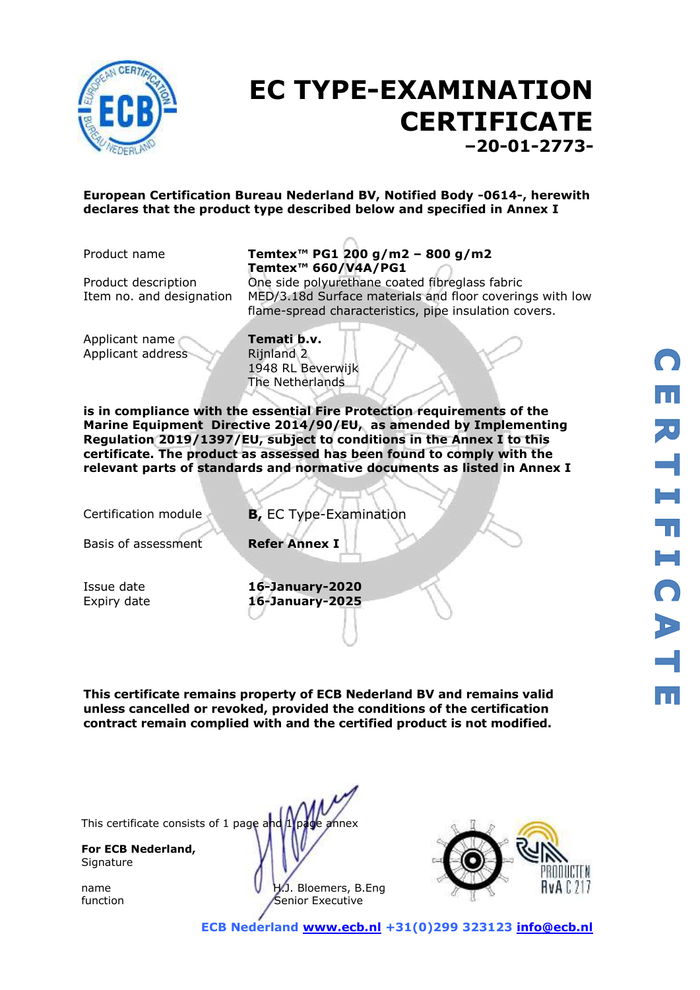

## **EC TYPE-EXAMINATION CERTIFICATE –20-01-2773-**

#### **European Certification Bureau Nederland BV, Notified Body -0614-, herewith declares that the product type described below and specified in Annex I**

#### Product name **Temtex™ PG1 200 g/m2 – 800 g/m2 Temtex™ 660/V4A/PG1**

Product description One side polyurethane coated fibreglass fabric Item no. and designation MED/3.18d Surface materials and floor coverings with low flame-spread characteristics, pipe insulation covers.

Applicant name **Temati b.v.** Applicant address Rijnland 2

1948 RL Beverwijk The Netherlands

**is in compliance with the essential Fire Protection requirements of the Marine Equipment Directive 2014/90/EU, as amended by Implementing Regulation 2019/1397/EU, subject to conditions in the Annex I to this certificate. The product as assessed has been found to comply with the relevant parts of standards and normative documents as listed in Annex I**

Certification module **B,** EC Type-Examination

Basis of assessment **Refer Annex I**

Issue date **16-January-2020** Expiry date **16-January-2025**

**This certificate remains property of ECB Nederland BV and remains valid unless cancelled or revoked, provided the conditions of the certification contract remain complied with and the certified product is not modified.**

**For ECB Nederland, Signature** 



function **Senior Executive** 

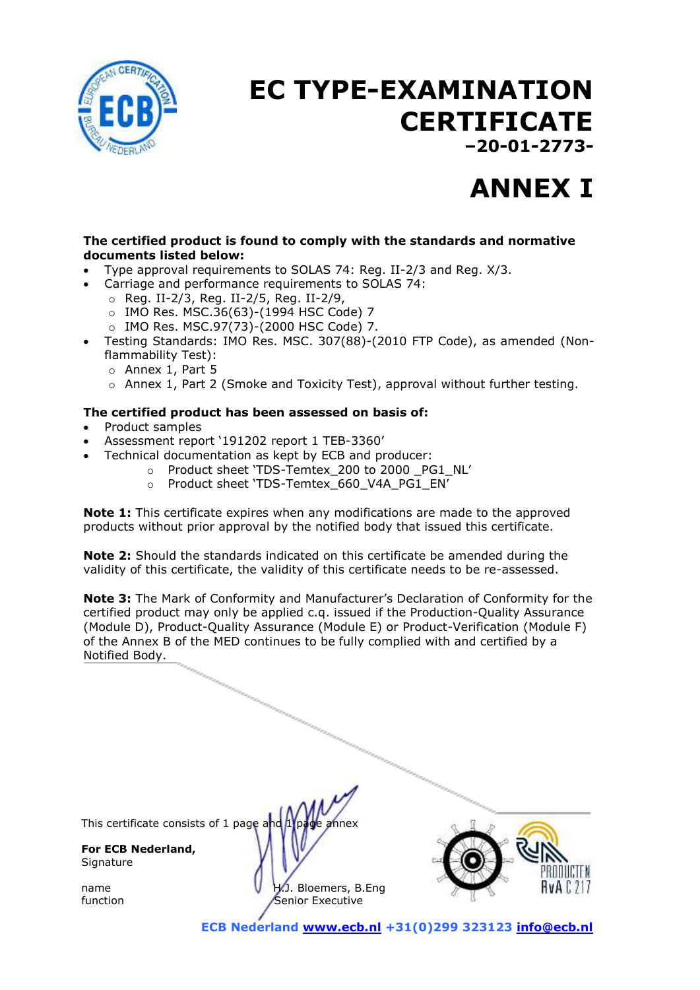

# **EC TYPE-EXAMINATION CERTIFICATE**

**–20-01-2773-**

## **ANNEX I**

#### **The certified product is found to comply with the standards and normative documents listed below:**

- Type approval requirements to SOLAS 74: Reg. II-2/3 and Reg. X/3.
	- Carriage and performance requirements to SOLAS 74:
		- o Reg. II-2/3, Reg. II-2/5, Reg. II-2/9,
		- o IMO Res. MSC.36(63)-(1994 HSC Code) 7
		- o IMO Res. MSC.97(73)-(2000 HSC Code) 7.
- Testing Standards: IMO Res. MSC. 307(88)-(2010 FTP Code), as amended (Nonflammability Test):
	- o Annex 1, Part 5
	- $\circ$  Annex 1, Part 2 (Smoke and Toxicity Test), approval without further testing.

#### **The certified product has been assessed on basis of:**

- Product samples
- Assessment report '191202 report 1 TEB-3360'
- Technical documentation as kept by ECB and producer:
	- o Product sheet 'TDS-Temtex 200 to 2000 PG1 NL'
	- o Product sheet 'TDS-Temtex\_660\_V4A\_PG1\_EN'

**Note 1:** This certificate expires when any modifications are made to the approved products without prior approval by the notified body that issued this certificate.

**Note 2:** Should the standards indicated on this certificate be amended during the validity of this certificate, the validity of this certificate needs to be re-assessed.

**Note 3:** The Mark of Conformity and Manufacturer's Declaration of Conformity for the certified product may only be applied c.q. issued if the Production-Quality Assurance (Module D), Product-Quality Assurance (Module E) or Product-Verification (Module F) of the Annex B of the MED continues to be fully complied with and certified by a Notified Body.

This certificate consists of 1 page and 1 page annex

**For ECB Nederland, Signature** 





 **ECB Nederland [www.ecb.nl](http://www.ecb.nl/) +31(0)299 323123 [info@ecb.nl](mailto:info@ecb.nl)**